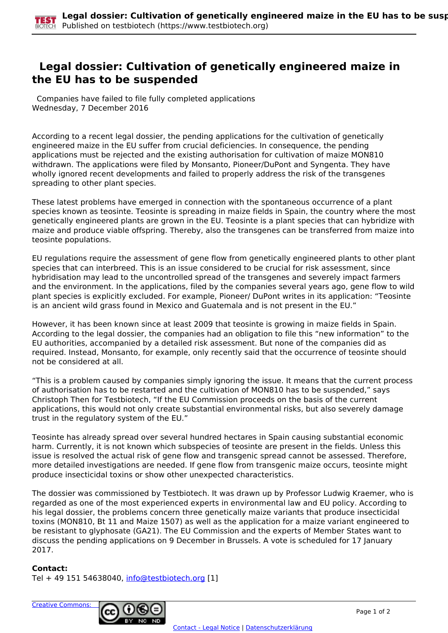## **Legal dossier: Cultivation of genetically engineered maize in the EU has to be suspended**

 Companies have failed to file fully completed applications Wednesday, 7 December 2016

According to a recent legal dossier, the pending applications for the cultivation of genetically engineered maize in the EU suffer from crucial deficiencies. In consequence, the pending applications must be rejected and the existing authorisation for cultivation of maize MON810 withdrawn. The applications were filed by Monsanto, Pioneer/DuPont and Syngenta. They have wholly ignored recent developments and failed to properly address the risk of the transgenes spreading to other plant species.

These latest problems have emerged in connection with the spontaneous occurrence of a plant species known as teosinte. Teosinte is spreading in maize fields in Spain, the country where the most genetically engineered plants are grown in the EU. Teosinte is a plant species that can hybridize with maize and produce viable offspring. Thereby, also the transgenes can be transferred from maize into teosinte populations.

EU regulations require the assessment of gene flow from genetically engineered plants to other plant species that can interbreed. This is an issue considered to be crucial for risk assessment, since hybridisation may lead to the uncontrolled spread of the transgenes and severely impact farmers and the environment. In the applications, filed by the companies several years ago, gene flow to wild plant species is explicitly excluded. For example, Pioneer/ DuPont writes in its application: "Teosinte is an ancient wild grass found in Mexico and Guatemala and is not present in the EU."

However, it has been known since at least 2009 that teosinte is growing in maize fields in Spain. According to the legal dossier, the companies had an obligation to file this "new information" to the EU authorities, accompanied by a detailed risk assessment. But none of the companies did as required. Instead, Monsanto, for example, only recently said that the occurrence of teosinte should not be considered at all.

"This is a problem caused by companies simply ignoring the issue. It means that the current process of authorisation has to be restarted and the cultivation of MON810 has to be suspended," says Christoph Then for Testbiotech, "If the EU Commission proceeds on the basis of the current applications, this would not only create substantial environmental risks, but also severely damage trust in the regulatory system of the EU."

Teosinte has already spread over several hundred hectares in Spain causing substantial economic harm. Currently, it is not known which subspecies of teosinte are present in the fields. Unless this issue is resolved the actual risk of gene flow and transgenic spread cannot be assessed. Therefore, more detailed investigations are needed. If gene flow from transgenic maize occurs, teosinte might produce insecticidal toxins or show other unexpected characteristics.

The dossier was commissioned by Testbiotech. It was drawn up by Professor Ludwig Kraemer, who is regarded as one of the most experienced experts in environmental law and EU policy. According to his legal dossier, the problems concern three genetically maize variants that produce insecticidal toxins (MON810, Bt 11 and Maize 1507) as well as the application for a maize variant engineered to be resistant to glyphosate (GA21). The EU Commission and the experts of Member States want to discuss the pending applications on 9 December in Brussels. A vote is scheduled for 17 January 2017.

## **Contact:**

Tel + 49 151 54638040, [info@testbiotech.org](mailto:info@testbiotech.org) [1]